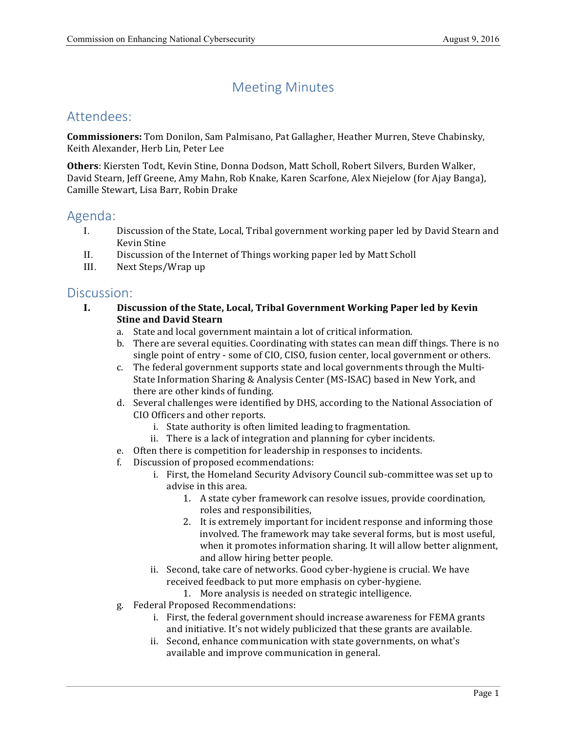# Meeting Minutes

## Attendees:

 **Commissioners:** Tom Donilon, Sam Palmisano, Pat Gallagher, Heather Murren, Steve Chabinsky, Keith Alexander, Herb Lin, Peter Lee

Others: Kiersten Todt, Kevin Stine, Donna Dodson, Matt Scholl, Robert Silvers, Burden Walker, David Stearn, Jeff Greene, Amy Mahn, Rob Knake, Karen Scarfone, Alex Niejelow (for Ajay Banga), Camille Stewart, Lisa Barr, Robin Drake

### Agenda:

- I. Discussion of the State, Local, Tribal government working paper led by David Stearn and Kevin Stine
- II. Discussion of the Internet of Things working paper led by Matt Scholl
- III. Next Steps/Wrap up

### Discussion:

- **I. Discussion of the State, Local, Tribal Government Working Paper led by Kevin Stine and David Stearn**
	- a. State and local government maintain a lot of critical information.
	- b. There are several equities. Coordinating with states can mean diff things. There is no single point of entry - some of CIO, CISO, fusion center, local government or others.
	- c. The federal government supports state and local governments through the Multi-State Information Sharing & Analysis Center (MS-ISAC) based in New York, and there are other kinds of funding.
	- d. Several challenges were identified by DHS, according to the National Association of CIO Officers and other reports.
		- i. State authority is often limited leading to fragmentation.
		- ii. There is a lack of integration and planning for cyber incidents.
	- e. Often there is competition for leadership in responses to incidents.
	- f. Discussion of proposed ecommendations:
		- i. First, the Homeland Security Advisory Council sub-committee was set up to advise in this area.
			- 1. A state cyber framework can resolve issues, provide coordination, roles and responsibilities,
			- 2. It is extremely important for incident response and informing those involved. The framework may take several forms, but is most useful, when it promotes information sharing. It will allow better alignment, and allow hiring better people.
		- ii. Second, take care of networks. Good cyber-hygiene is crucial. We have received feedback to put more emphasis on cyber-hygiene.
			- 1. More analysis is needed on strategic intelligence.
	- g. Federal Proposed Recommendations:
		- i. First, the federal government should increase awareness for FEMA grants and initiative. It's not widely publicized that these grants are available.
		- ii. Second, enhance communication with state governments, on what's available and improve communication in general.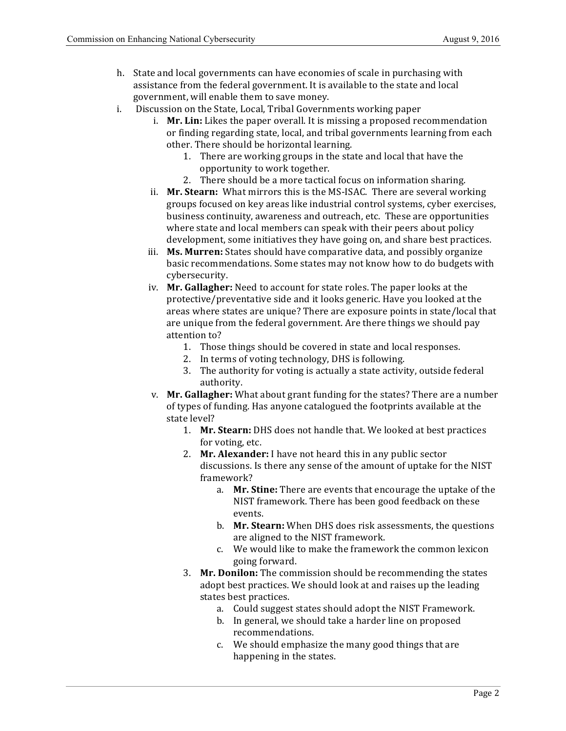- h. State and local governments can have economies of scale in purchasing with assistance from the federal government. It is available to the state and local government, will enable them to save money.
- i. Discussion on the State, Local, Tribal Governments working paper
	- i. Mr. Lin: Likes the paper overall. It is missing a proposed recommendation or finding regarding state, local, and tribal governments learning from each other. There should be horizontal learning.
		- 1. There are working groups in the state and local that have the opportunity to work together.
		- 2. There should be a more tactical focus on information sharing.
	- ii. Mr. Stearn: What mirrors this is the MS-ISAC. There are several working groups focused on key areas like industrial control systems, cyber exercises, business continuity, awareness and outreach, etc. These are opportunities where state and local members can speak with their peers about policy development, some initiatives they have going on, and share best practices.
	- iii. Ms. Murren: States should have comparative data, and possibly organize basic recommendations. Some states may not know how to do budgets with cybersecurity.
	- iv. Mr. Gallagher: Need to account for state roles. The paper looks at the protective/preventative side and it looks generic. Have you looked at the areas where states are unique? There are exposure points in state/local that are unique from the federal government. Are there things we should pay attention to?
		- 1. Those things should be covered in state and local responses.
		- 2. In terms of voting technology, DHS is following.
		- 3. The authority for voting is actually a state activity, outside federal authority.
	- v. **Mr. Gallagher:** What about grant funding for the states? There are a number of types of funding. Has anyone catalogued the footprints available at the state level?
		- 1. Mr. Stearn: DHS does not handle that. We looked at best practices for voting, etc.
		- 2. **Mr. Alexander:** I have not heard this in any public sector discussions. Is there any sense of the amount of uptake for the NIST framework?
			- a. Mr. Stine: There are events that encourage the uptake of the NIST framework. There has been good feedback on these events.
			- b. **Mr. Stearn:** When DHS does risk assessments, the questions are aligned to the NIST framework.
			- c. We would like to make the framework the common lexicon going forward.
		- 3. Mr. Donilon: The commission should be recommending the states adopt best practices. We should look at and raises up the leading states best practices.
			- a. Could suggest states should adopt the NIST Framework.
			- b. In general, we should take a harder line on proposed recommendations.
			- c. We should emphasize the many good things that are happening in the states.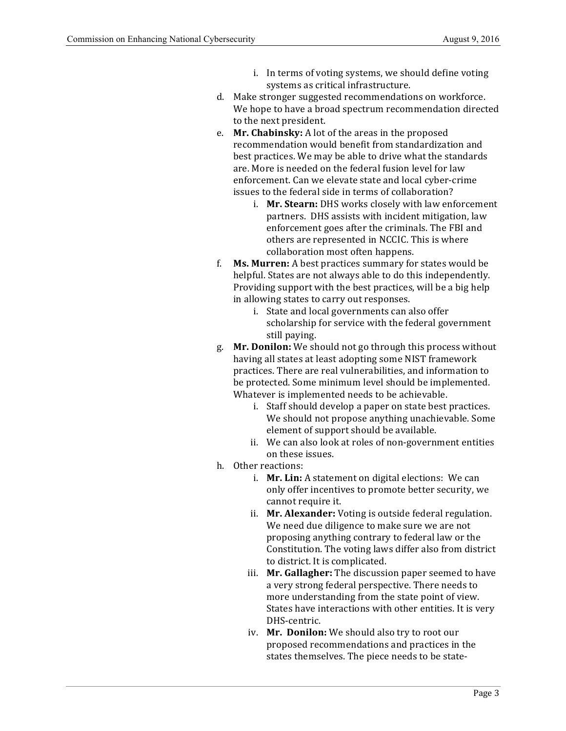- i. In terms of voting systems, we should define voting systems as critical infrastructure.
- d. Make stronger suggested recommendations on workforce. We hope to have a broad spectrum recommendation directed to the next president.
- e. **Mr. Chabinsky:** A lot of the areas in the proposed recommendation would benefit from standardization and best practices. We may be able to drive what the standards are. More is needed on the federal fusion level for law enforcement. Can we elevate state and local cyber-crime issues to the federal side in terms of collaboration?
	- i. Mr. Stearn: DHS works closely with law enforcement partners. DHS assists with incident mitigation, law enforcement goes after the criminals. The FBI and others are represented in NCCIC. This is where collaboration most often happens.
- f. **Ms. Murren:** A best practices summary for states would be helpful. States are not always able to do this independently. Providing support with the best practices, will be a big help in allowing states to carry out responses.
	- i. State and local governments can also offer scholarship for service with the federal government still paying.
- g. Mr. Donilon: We should not go through this process without having all states at least adopting some NIST framework practices. There are real vulnerabilities, and information to be protected. Some minimum level should be implemented. Whatever is implemented needs to be achievable.
	- i. Staff should develop a paper on state best practices. We should not propose anything unachievable. Some element of support should be available.
	- ii. We can also look at roles of non-government entities on these issues.
- h. Other reactions:
	- i. **Mr. Lin:** A statement on digital elections: We can only offer incentives to promote better security, we cannot require it.
	- ii. Mr. Alexander: Voting is outside federal regulation. We need due diligence to make sure we are not proposing anything contrary to federal law or the Constitution. The voting laws differ also from district to district. It is complicated.
	- iii. Mr. Gallagher: The discussion paper seemed to have a very strong federal perspective. There needs to more understanding from the state point of view. States have interactions with other entities. It is very DHS-centric.
	- iv. Mr. Donilon: We should also try to root our proposed recommendations and practices in the states themselves. The piece needs to be state-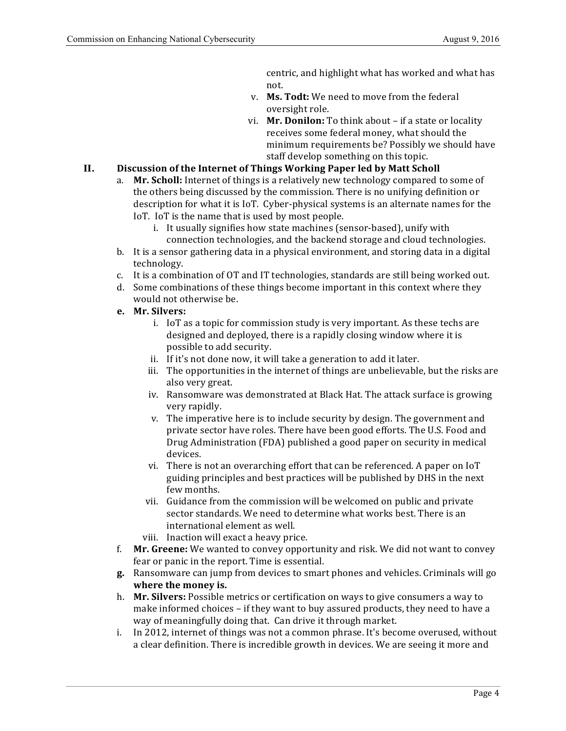centric, and highlight what has worked and what has not.

- v. Ms. Todt: We need to move from the federal oversight role.
- vi. Mr. Donilon: To think about if a state or locality receives some federal money, what should the minimum requirements be? Possibly we should have staff develop something on this topic.

#### **II. Discussion of the Internet of Things Working Paper led by Matt Scholl**

- a. Mr. Scholl: Internet of things is a relatively new technology compared to some of the others being discussed by the commission. There is no unifying definition or description for what it is IoT. Cyber-physical systems is an alternate names for the IoT. IoT is the name that is used by most people.
	- i. It usually signifies how state machines (sensor-based), unify with connection technologies, and the backend storage and cloud technologies.
- b. It is a sensor gathering data in a physical environment, and storing data in a digital technology.
- c. It is a combination of OT and IT technologies, standards are still being worked out.
- d. Some combinations of these things become important in this context where they would not otherwise be.
- **e. Mr. Silvers:**
	- i. IoT as a topic for commission study is very important. As these techs are designed and deployed, there is a rapidly closing window where it is possible to add security.
	- ii. If it's not done now, it will take a generation to add it later.
	- iii. The opportunities in the internet of things are unbelievable, but the risks are also very great.
	- iv. Ransomware was demonstrated at Black Hat. The attack surface is growing very rapidly.
	- v. The imperative here is to include security by design. The government and private sector have roles. There have been good efforts. The U.S. Food and Drug Administration (FDA) published a good paper on security in medical devices.
	- vi. There is not an overarching effort that can be referenced. A paper on IoT guiding principles and best practices will be published by DHS in the next few months.
	- vii. Guidance from the commission will be welcomed on public and private sector standards. We need to determine what works best. There is an international element as well.
	- viii. Inaction will exact a heavy price.
- f. Mr. Greene: We wanted to convey opportunity and risk. We did not want to convey fear or panic in the report. Time is essential.
- **g.**  Ransomware can jump from devices to smart phones and vehicles. Criminals will go  **where the money is.**
- h. **Mr. Silvers:** Possible metrics or certification on ways to give consumers a way to make informed choices - if they want to buy assured products, they need to have a way of meaningfully doing that. Can drive it through market.
- i. In 2012, internet of things was not a common phrase. It's become overused, without a clear definition. There is incredible growth in devices. We are seeing it more and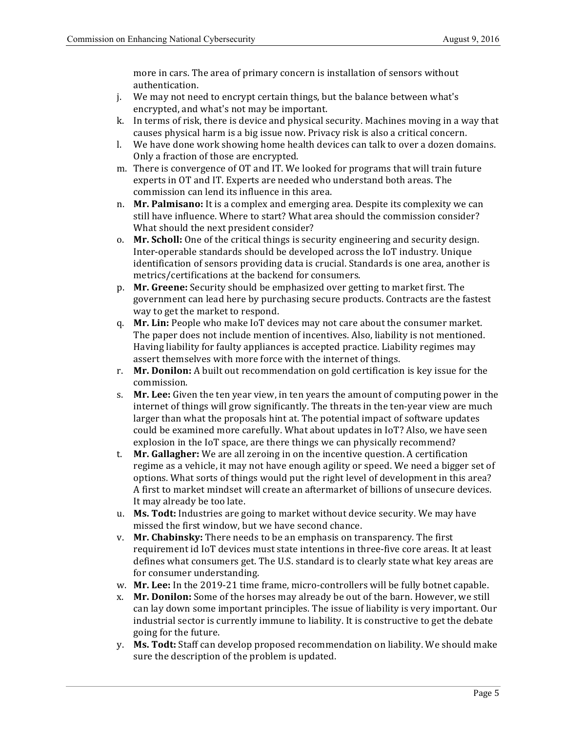more in cars. The area of primary concern is installation of sensors without authentication.

- j. We may not need to encrypt certain things, but the balance between what's encrypted, and what's not may be important.
- k. In terms of risk, there is device and physical security. Machines moving in a way that causes physical harm is a big issue now. Privacy risk is also a critical concern.
- l. We have done work showing home health devices can talk to over a dozen domains. Only a fraction of those are encrypted.
- m. There is convergence of OT and IT. We looked for programs that will train future experts in OT and IT. Experts are needed who understand both areas. The commission can lend its influence in this area.
- n. **Mr. Palmisano:** It is a complex and emerging area. Despite its complexity we can still have influence. Where to start? What area should the commission consider? What should the next president consider?
- o. Mr. Scholl: One of the critical things is security engineering and security design. Inter-operable standards should be developed across the IoT industry. Unique identification of sensors providing data is crucial. Standards is one area, another is metrics/certifications at the backend for consumers.
- p. Mr. Greene: Security should be emphasized over getting to market first. The government can lead here by purchasing secure products. Contracts are the fastest way to get the market to respond.
- q. **Mr. Lin:** People who make IoT devices may not care about the consumer market. The paper does not include mention of incentives. Also, liability is not mentioned. Having liability for faulty appliances is accepted practice. Liability regimes may assert themselves with more force with the internet of things.
- r. **Mr. Donilon:** A built out recommendation on gold certification is key issue for the commission.
- s. **Mr. Lee:** Given the ten year view, in ten years the amount of computing power in the internet of things will grow significantly. The threats in the ten-year view are much larger than what the proposals hint at. The potential impact of software updates could be examined more carefully. What about updates in IoT? Also, we have seen explosion in the IoT space, are there things we can physically recommend?
- t. **Mr. Gallagher:** We are all zeroing in on the incentive question. A certification regime as a vehicle, it may not have enough agility or speed. We need a bigger set of options. What sorts of things would put the right level of development in this area? A first to market mindset will create an aftermarket of billions of unsecure devices. It may already be too late.
- u. Ms. Todt: Industries are going to market without device security. We may have missed the first window, but we have second chance.
- v. Mr. Chabinsky: There needs to be an emphasis on transparency. The first requirement id IoT devices must state intentions in three-five core areas. It at least defines what consumers get. The U.S. standard is to clearly state what key areas are for consumer understanding.
- w. **Mr. Lee:** In the 2019-21 time frame, micro-controllers will be fully botnet capable.
- x. **Mr. Donilon:** Some of the horses may already be out of the barn. However, we still can lay down some important principles. The issue of liability is very important. Our industrial sector is currently immune to liability. It is constructive to get the debate going for the future.
- y. **Ms. Todt:** Staff can develop proposed recommendation on liability. We should make sure the description of the problem is updated.